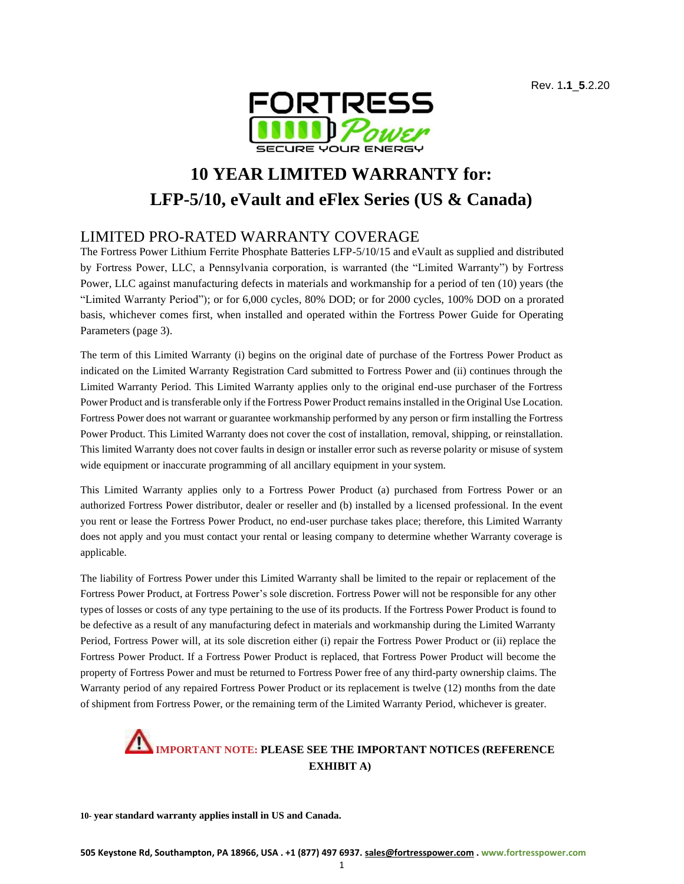

# **10 YEAR LIMITED WARRANTY for: LFP-5/10, eVault and eFlex Series (US & Canada)**

#### LIMITED PRO-RATED WARRANTY COVERAGE

The Fortress Power Lithium Ferrite Phosphate Batteries LFP-5/10/15 and eVault as supplied and distributed by Fortress Power, LLC, a Pennsylvania corporation, is warranted (the "Limited Warranty") by Fortress Power, LLC against manufacturing defects in materials and workmanship for a period of ten (10) years (the "Limited Warranty Period"); or for 6,000 cycles, 80% DOD; or for 2000 cycles, 100% DOD on a prorated basis, whichever comes first, when installed and operated within the Fortress Power Guide for Operating Parameters (page 3).

The term of this Limited Warranty (i) begins on the original date of purchase of the Fortress Power Product as indicated on the Limited Warranty Registration Card submitted to Fortress Power and (ii) continues through the Limited Warranty Period. This Limited Warranty applies only to the original end-use purchaser of the Fortress Power Product and is transferable only if the Fortress Power Product remainsinstalled in the Original Use Location. Fortress Power does not warrant or guarantee workmanship performed by any person or firm installing the Fortress Power Product. This Limited Warranty does not cover the cost of installation, removal, shipping, or reinstallation. This limited Warranty does not cover faults in design or installer error such as reverse polarity or misuse of system wide equipment or inaccurate programming of all ancillary equipment in your system.

This Limited Warranty applies only to a Fortress Power Product (a) purchased from Fortress Power or an authorized Fortress Power distributor, dealer or reseller and (b) installed by a licensed professional. In the event you rent or lease the Fortress Power Product, no end-user purchase takes place; therefore, this Limited Warranty does not apply and you must contact your rental or leasing company to determine whether Warranty coverage is applicable.

The liability of Fortress Power under this Limited Warranty shall be limited to the repair or replacement of the Fortress Power Product, at Fortress Power's sole discretion. Fortress Power will not be responsible for any other types of losses or costs of any type pertaining to the use of its products. If the Fortress Power Product is found to be defective as a result of any manufacturing defect in materials and workmanship during the Limited Warranty Period, Fortress Power will, at its sole discretion either (i) repair the Fortress Power Product or (ii) replace the Fortress Power Product. If a Fortress Power Product is replaced, that Fortress Power Product will become the property of Fortress Power and must be returned to Fortress Power free of any third-party ownership claims. The Warranty period of any repaired Fortress Power Product or its replacement is twelve (12) months from the date of shipment from Fortress Power, or the remaining term of the Limited Warranty Period, whichever is greater.

## **IMPORTANT NOTE: PLEASE SEE THE IMPORTANT NOTICES (REFERENCE EXHIBIT A)**

**10- year standard warranty applies install in US and Canada.**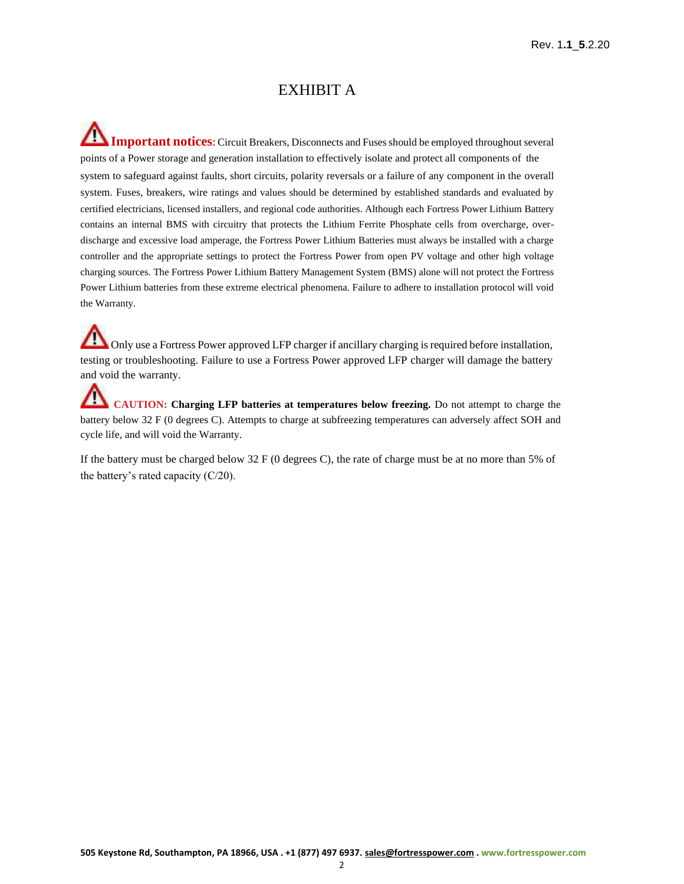#### EXHIBIT A

∕∿ **Important notices**: Circuit Breakers, Disconnects and Fuses should be employed throughout several points of a Power storage and generation installation to effectively isolate and protect all components of the system to safeguard against faults, short circuits, polarity reversals or a failure of any component in the overall system. Fuses, breakers, wire ratings and values should be determined by established standards and evaluated by certified electricians, licensed installers, and regional code authorities. Although each Fortress Power Lithium Battery contains an internal BMS with circuitry that protects the Lithium Ferrite Phosphate cells from overcharge, overdischarge and excessive load amperage, the Fortress Power Lithium Batteries must always be installed with a charge controller and the appropriate settings to protect the Fortress Power from open PV voltage and other high voltage charging sources. The Fortress Power Lithium Battery Management System (BMS) alone will not protect the Fortress Power Lithium batteries from these extreme electrical phenomena. Failure to adhere to installation protocol will void the Warranty.

Only use a Fortress Power approved LFP charger if ancillary charging is required before installation, testing or troubleshooting. Failure to use a Fortress Power approved LFP charger will damage the battery and void the warranty.

**CAUTION: Charging LFP batteries at temperatures below freezing.** Do not attempt to charge the battery below 32 F (0 degrees C). Attempts to charge at subfreezing temperatures can adversely affect SOH and cycle life, and will void the Warranty.

If the battery must be charged below 32 F (0 degrees C), the rate of charge must be at no more than 5% of the battery's rated capacity (C/20).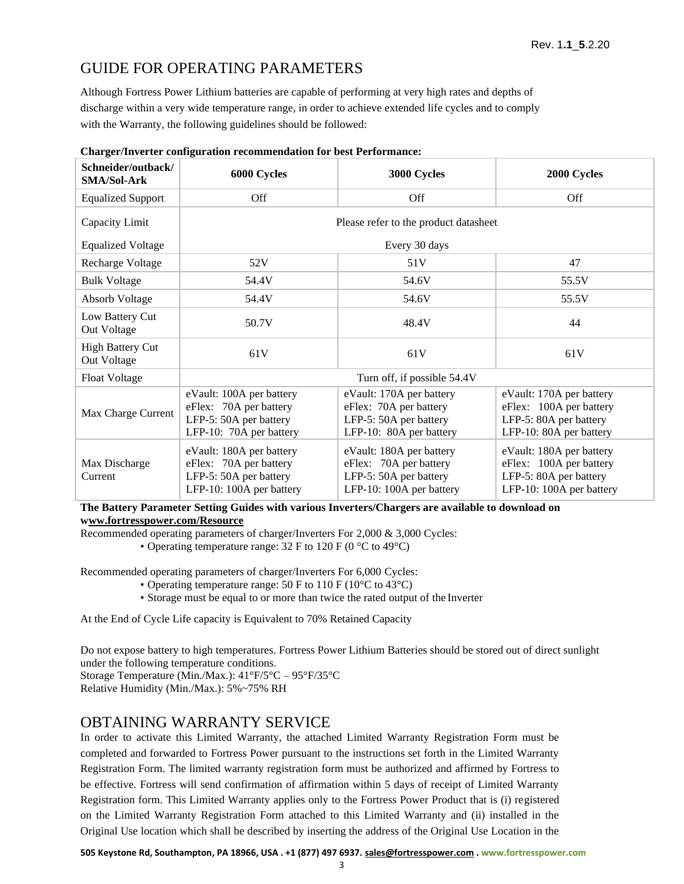### GUIDE FOR OPERATING PARAMETERS

Although Fortress Power Lithium batteries are capable of performing at very high rates and depths of discharge within a very wide temperature range, in order to achieve extended life cycles and to comply with the Warranty, the following guidelines should be followed:

| Schneider/outback/<br><b>SMA/Sol-Ark</b> | 6000 Cycles                                                                                              | 3000 Cycles                                                                                              | 2000 Cycles                                                                                               |  |
|------------------------------------------|----------------------------------------------------------------------------------------------------------|----------------------------------------------------------------------------------------------------------|-----------------------------------------------------------------------------------------------------------|--|
| <b>Equalized Support</b>                 | Off                                                                                                      | Off                                                                                                      | Off                                                                                                       |  |
| Capacity Limit                           | Please refer to the product datasheet                                                                    |                                                                                                          |                                                                                                           |  |
| <b>Equalized Voltage</b>                 | Every 30 days                                                                                            |                                                                                                          |                                                                                                           |  |
| Recharge Voltage                         | 52V                                                                                                      | 51V                                                                                                      | 47                                                                                                        |  |
| <b>Bulk Voltage</b>                      | 54.4V                                                                                                    | 54.6V                                                                                                    | 55.5V                                                                                                     |  |
| <b>Absorb Voltage</b>                    | 54.4V                                                                                                    | 54.6V                                                                                                    | 55.5V                                                                                                     |  |
| Low Battery Cut<br>Out Voltage           | 50.7V                                                                                                    | 48.4V                                                                                                    | 44                                                                                                        |  |
| <b>High Battery Cut</b><br>Out Voltage   | 61V                                                                                                      | 61V                                                                                                      | 61V                                                                                                       |  |
| <b>Float Voltage</b>                     | Turn off, if possible 54.4V                                                                              |                                                                                                          |                                                                                                           |  |
| Max Charge Current                       | eVault: 100A per battery<br>eFlex: 70A per battery<br>LFP-5: 50A per battery<br>LFP-10: 70A per battery  | eVault: 170A per battery<br>eFlex: 70A per battery<br>LFP-5: 50A per battery<br>LFP-10: 80A per battery  | eVault: 170A per battery<br>eFlex: 100A per battery<br>LFP-5: 80A per battery<br>LFP-10: 80A per battery  |  |
| Max Discharge<br>Current                 | eVault: 180A per battery<br>eFlex: 70A per battery<br>LFP-5: 50A per battery<br>LFP-10: 100A per battery | eVault: 180A per battery<br>eFlex: 70A per battery<br>LFP-5: 50A per battery<br>LFP-10: 100A per battery | eVault: 180A per battery<br>eFlex: 100A per battery<br>LFP-5: 80A per battery<br>LFP-10: 100A per battery |  |

#### **Charger/Inverter configuration recommendation for best Performance:**

**The Battery Parameter Setting Guides with various Inverters/Chargers are available to download on www.fortresspower.com/Resource**

Recommended operating parameters of charger/Inverters For 2,000 & 3,000 Cycles: • Operating temperature range:  $32 \text{ F}$  to  $120 \text{ F}$  (0 °C to 49°C)

Recommended operating parameters of charger/Inverters For 6,000 Cycles:

- Operating temperature range: 50 F to 110 F ( $10^{\circ}$ C to 43 $^{\circ}$ C)
- Storage must be equal to or more than twice the rated output of the Inverter

At the End of Cycle Life capacity is Equivalent to 70% Retained Capacity

Do not expose battery to high temperatures. Fortress Power Lithium Batteries should be stored out of direct sunlight under the following temperature conditions.

Storage Temperature (Min./Max.): 41°F/5°C – 95°F/35°C

Relative Humidity (Min./Max.): 5%~75% RH

#### OBTAINING WARRANTY SERVICE

In order to activate this Limited Warranty, the attached Limited Warranty Registration Form must be completed and forwarded to Fortress Power pursuant to the instructions set forth in the Limited Warranty Registration Form. The limited warranty registration form must be authorized and affirmed by Fortress to be effective. Fortress will send confirmation of affirmation within 5 days of receipt of Limited Warranty Registration form. This Limited Warranty applies only to the Fortress Power Product that is (i) registered on the Limited Warranty Registration Form attached to this Limited Warranty and (ii) installed in the Original Use location which shall be described by inserting the address of the Original Use Location in the

**505 Keystone Rd, Southampton, PA 18966, USA . +1 (877) 497 6937[. sales@fortresspower.com](mailto:sales@fortresspower.com) . [www.fortresspower.com](http://www.fortresspower.com/)**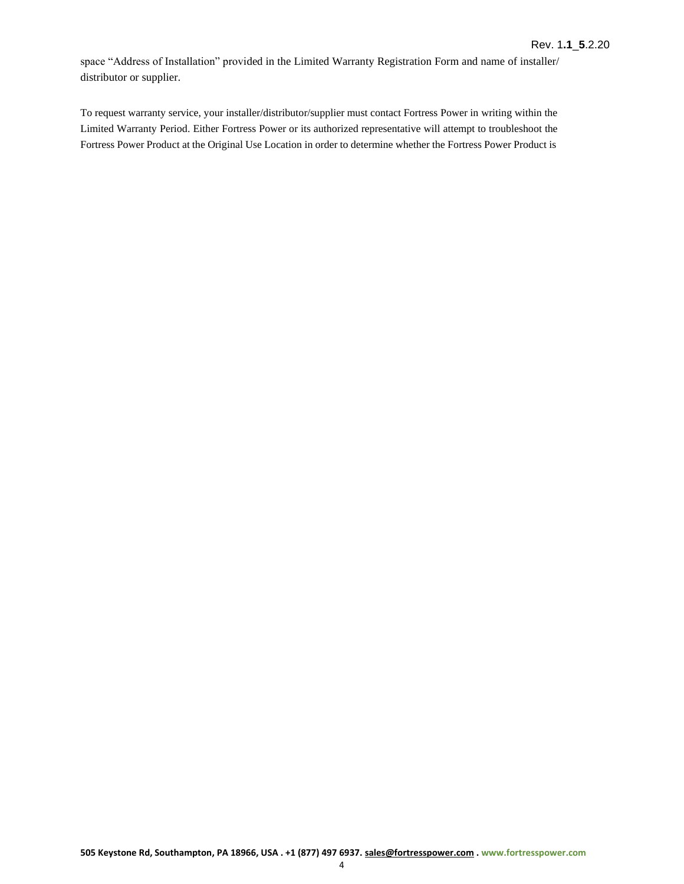space "Address of Installation" provided in the Limited Warranty Registration Form and name of installer/ distributor or supplier.

To request warranty service, your installer/distributor/supplier must contact Fortress Power in writing within the Limited Warranty Period. Either Fortress Power or its authorized representative will attempt to troubleshoot the Fortress Power Product at the Original Use Location in order to determine whether the Fortress Power Product is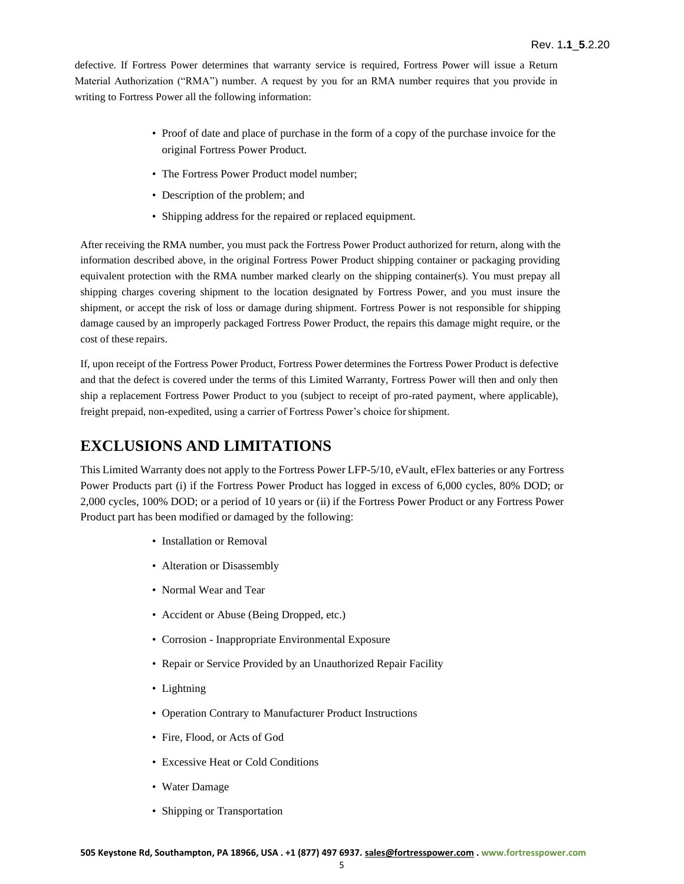defective. If Fortress Power determines that warranty service is required, Fortress Power will issue a Return Material Authorization ("RMA") number. A request by you for an RMA number requires that you provide in writing to Fortress Power all the following information:

- Proof of date and place of purchase in the form of a copy of the purchase invoice for the original Fortress Power Product.
- The Fortress Power Product model number:
- Description of the problem; and
- Shipping address for the repaired or replaced equipment.

After receiving the RMA number, you must pack the Fortress Power Product authorized for return, along with the information described above, in the original Fortress Power Product shipping container or packaging providing equivalent protection with the RMA number marked clearly on the shipping container(s). You must prepay all shipping charges covering shipment to the location designated by Fortress Power, and you must insure the shipment, or accept the risk of loss or damage during shipment. Fortress Power is not responsible for shipping damage caused by an improperly packaged Fortress Power Product, the repairs this damage might require, or the cost of these repairs.

If, upon receipt of the Fortress Power Product, Fortress Power determines the Fortress Power Product is defective and that the defect is covered under the terms of this Limited Warranty, Fortress Power will then and only then ship a replacement Fortress Power Product to you (subject to receipt of pro-rated payment, where applicable), freight prepaid, non-expedited, using a carrier of Fortress Power's choice forshipment.

### **EXCLUSIONS AND LIMITATIONS**

This Limited Warranty does not apply to the Fortress Power LFP-5/10, eVault, eFlex batteries or any Fortress Power Products part (i) if the Fortress Power Product has logged in excess of 6,000 cycles, 80% DOD; or 2,000 cycles, 100% DOD; or a period of 10 years or (ii) if the Fortress Power Product or any Fortress Power Product part has been modified or damaged by the following:

- Installation or Removal
- Alteration or Disassembly
- Normal Wear and Tear
- Accident or Abuse (Being Dropped, etc.)
- Corrosion Inappropriate Environmental Exposure
- Repair or Service Provided by an Unauthorized Repair Facility
- Lightning
- Operation Contrary to Manufacturer Product Instructions
- Fire, Flood, or Acts of God
- Excessive Heat or Cold Conditions
- Water Damage
- Shipping or Transportation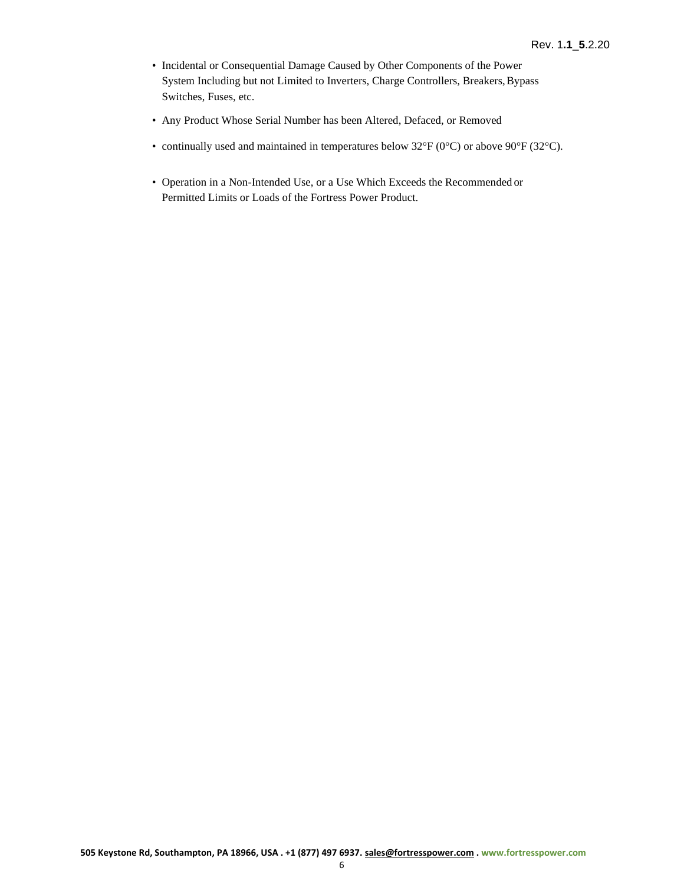- Incidental or Consequential Damage Caused by Other Components of the Power System Including but not Limited to Inverters, Charge Controllers, Breakers, Bypass Switches, Fuses, etc.
- Any Product Whose Serial Number has been Altered, Defaced, or Removed
- continually used and maintained in temperatures below 32°F (0°C) or above 90°F (32°C).
- Operation in a Non-Intended Use, or a Use Which Exceeds the Recommended or Permitted Limits or Loads of the Fortress Power Product.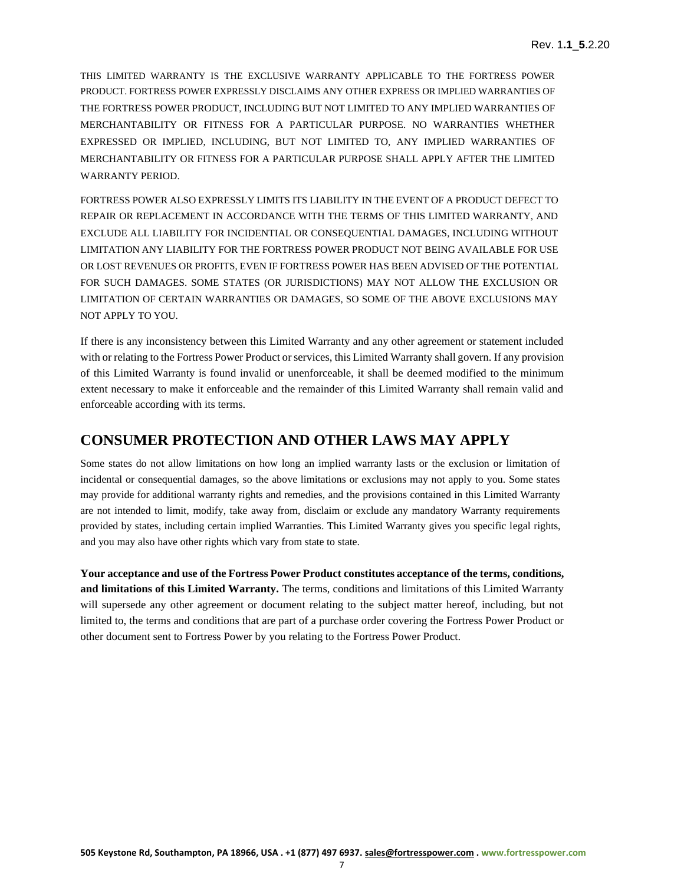THIS LIMITED WARRANTY IS THE EXCLUSIVE WARRANTY APPLICABLE TO THE FORTRESS POWER PRODUCT. FORTRESS POWER EXPRESSLY DISCLAIMS ANY OTHER EXPRESS OR IMPLIED WARRANTIES OF THE FORTRESS POWER PRODUCT, INCLUDING BUT NOT LIMITED TO ANY IMPLIED WARRANTIES OF MERCHANTABILITY OR FITNESS FOR A PARTICULAR PURPOSE. NO WARRANTIES WHETHER EXPRESSED OR IMPLIED, INCLUDING, BUT NOT LIMITED TO, ANY IMPLIED WARRANTIES OF MERCHANTABILITY OR FITNESS FOR A PARTICULAR PURPOSE SHALL APPLY AFTER THE LIMITED WARRANTY PERIOD.

FORTRESS POWER ALSO EXPRESSLY LIMITS ITS LIABILITY IN THE EVENT OF A PRODUCT DEFECT TO REPAIR OR REPLACEMENT IN ACCORDANCE WITH THE TERMS OF THIS LIMITED WARRANTY, AND EXCLUDE ALL LIABILITY FOR INCIDENTIAL OR CONSEQUENTIAL DAMAGES, INCLUDING WITHOUT LIMITATION ANY LIABILITY FOR THE FORTRESS POWER PRODUCT NOT BEING AVAILABLE FOR USE OR LOST REVENUES OR PROFITS, EVEN IF FORTRESS POWER HAS BEEN ADVISED OF THE POTENTIAL FOR SUCH DAMAGES. SOME STATES (OR JURISDICTIONS) MAY NOT ALLOW THE EXCLUSION OR LIMITATION OF CERTAIN WARRANTIES OR DAMAGES, SO SOME OF THE ABOVE EXCLUSIONS MAY NOT APPLY TO YOU.

If there is any inconsistency between this Limited Warranty and any other agreement or statement included with or relating to the Fortress Power Product or services, this Limited Warranty shall govern. If any provision of this Limited Warranty is found invalid or unenforceable, it shall be deemed modified to the minimum extent necessary to make it enforceable and the remainder of this Limited Warranty shall remain valid and enforceable according with its terms.

#### **CONSUMER PROTECTION AND OTHER LAWS MAY APPLY**

Some states do not allow limitations on how long an implied warranty lasts or the exclusion or limitation of incidental or consequential damages, so the above limitations or exclusions may not apply to you. Some states may provide for additional warranty rights and remedies, and the provisions contained in this Limited Warranty are not intended to limit, modify, take away from, disclaim or exclude any mandatory Warranty requirements provided by states, including certain implied Warranties. This Limited Warranty gives you specific legal rights, and you may also have other rights which vary from state to state.

**Your acceptance and use of the Fortress Power Product constitutes acceptance of the terms, conditions, and limitations of this Limited Warranty.** The terms, conditions and limitations of this Limited Warranty will supersede any other agreement or document relating to the subject matter hereof, including, but not limited to, the terms and conditions that are part of a purchase order covering the Fortress Power Product or other document sent to Fortress Power by you relating to the Fortress Power Product.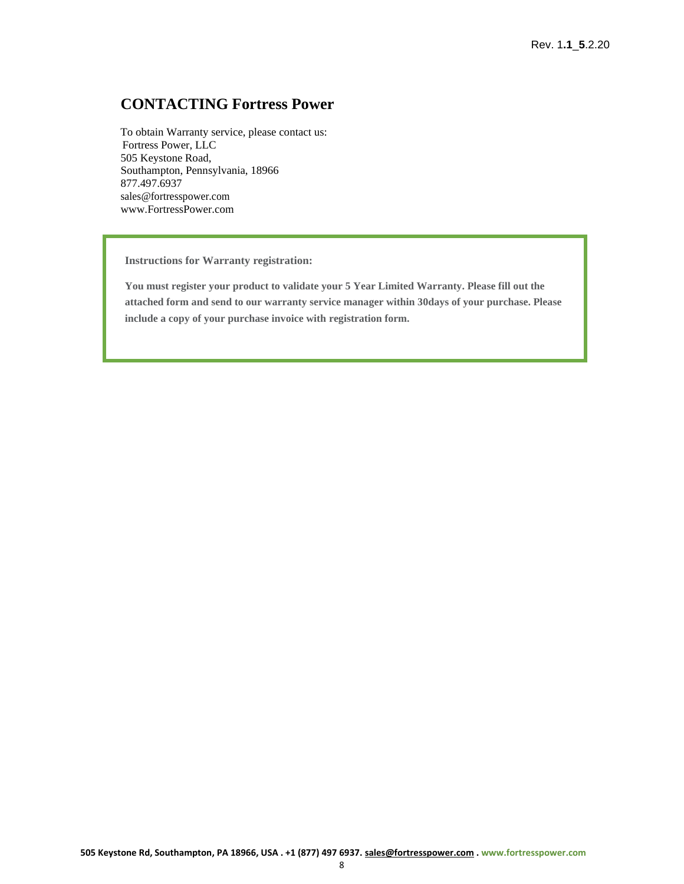#### **CONTACTING Fortress Power**

To obtain Warranty service, please contact us: Fortress Power, LLC 505 Keystone Road, Southampton, Pennsylvania, 18966 877.497.6937 [sales@fortresspower.com](mailto:sales@fortresspower.com) [www.FortressPower.com](http://www.fortresspower.com/)

**Instructions for Warranty registration:**

**You must register your product to validate your 5 Year Limited Warranty. Please fill out the attached form and send to our warranty service manager within 30days of your purchase. Please include a copy of your purchase invoice with registration form.**